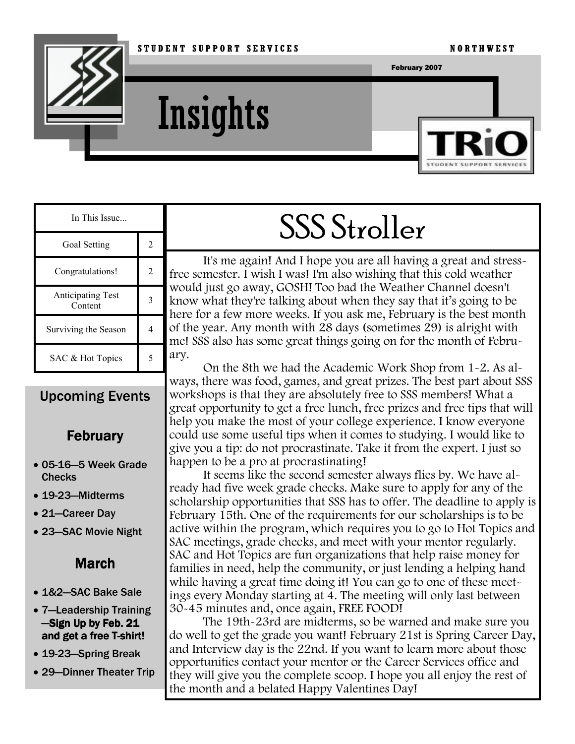

**Insights** 



| In This Issue                       |   |
|-------------------------------------|---|
| Goal Setting                        | 2 |
| Congratulations!                    | 2 |
| <b>Anticipating Test</b><br>Content |   |
| Surviving the Season                |   |
| SAC & Hot Topics                    |   |

### Upcoming Events

### **February**

- 05-16—5 Week Grade **Checks**
- 19-23—Midterms
- 21—Career Day
- 23—SAC Movie Night

### March

- 1&2—SAC Bake Sale
- 7—Leadership Training -Sign Up by Feb. 21 and get a free T-shirt!
- 19-23—Spring Break
- 29—Dinner Theater Trip

# SSS Stroller

It's me again! And I hope you are all having a great and stressfree semester. I wish I was! I'm also wishing that this cold weather would just go away, GOSH! Too bad the Weather Channel doesn't know what they're talking about when they say that it's going to be here for a few more weeks. If you ask me, February is the best month of the year. Any month with  $28$  days (sometimes  $29$ ) is alright with me! SSS also has some great things going on for the month of February.

On the 8th we had the Academic Work Shop from 1-2. As always, there was food, games, and great prizes. The best part about SSS workshops is that they are absolutely free to SSS members! What a great opportunity to get a free lunch, free prizes and free tips that will help you make the most of your college experience. I know everyone could use some useful tips when it comes to studying. I would like to give you a tip: do not procrastinate. Take it from the expert. I just so happen to be a pro at procrastinating!

It seems like the second semester always flies by. We have already had five week grade checks. Make sure to apply for any of the scholarship opportunities that SSS has to offer. The deadline to apply is February 15th. One of the requirements for our scholarships is to be active within the program, which requires you to go to Hot Topics and SAC meetings, grade checks, and meet with your mentor regularly. SAC and Hot Topics are fun organizations that help raise money for families in need, help the community, or just lending a helping hand while having a great time doing it! You can go to one of these meetings every Monday starting at 4. The meeting will only last between 30-45 minutes and, once again, FREE FOOD!

The 19th-23rd are midterms, so be warned and make sure you do well to get the grade you want! February 21st is Spring Career Day, and Interview day is the 22nd. If you want to learn more about those opportunities contact your mentor or the Career Services office and they will give you the complete scoop. I hope you all enjoy the rest of the month and a belated Happy Valentines Day!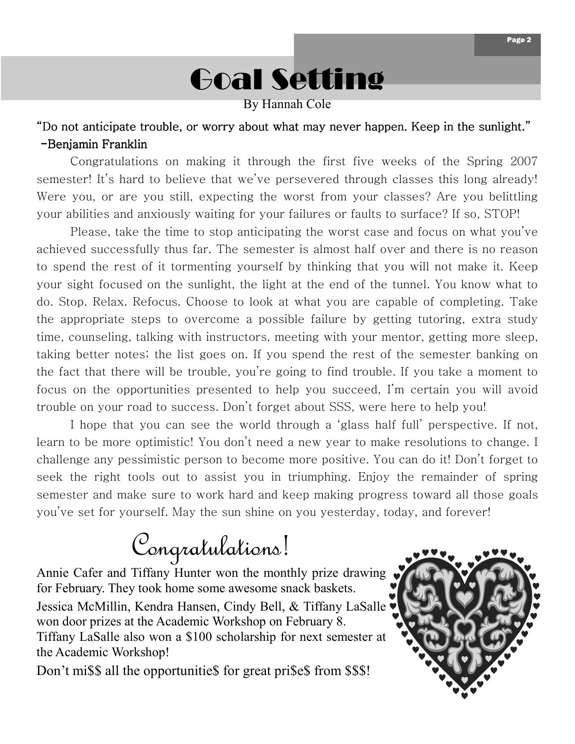

By Hannah Cole

#### "Do not anticipate trouble, or worry about what may never happen. Keep in the sunlight."  $-Benjamin$  Franklin

 Congratulations on making it through the first five weeks of the Spring 2007 semester! It's hard to believe that we've persevered through classes this long already! Were you, or are you still, expecting the worst from your classes? Are you belittling your abilities and anxiously waiting for your failures or faults to surface? If so, STOP!

 Please, take the time to stop anticipating the worst case and focus on what you've achieved successfully thus far. The semester is almost half over and there is no reason to spend the rest of it tormenting yourself by thinking that you will not make it. Keep your sight focused on the sunlight, the light at the end of the tunnel. You know what to do. Stop. Relax. Refocus. Choose to look at what you are capable of completing. Take the appropriate steps to overcome a possible failure by getting tutoring, extra study time, counseling, talking with instructors, meeting with your mentor, getting more sleep, taking better notes; the list goes on. If you spend the rest of the semester banking on the fact that there will be trouble, you're going to find trouble. If you take a moment to focus on the opportunities presented to help you succeed, I'm certain you will avoid trouble on your road to success. Don't forget about SSS, were here to help you!

 I hope that you can see the world through a 'glass half full' perspective. If not, learn to be more optimistic! You don't need a new year to make resolutions to change. I challenge any pessimistic person to become more positive. You can do it! Don't forget to seek the right tools out to assist you in triumphing. Enjoy the remainder of spring semester and make sure to work hard and keep making progress toward all those goals you've set for yourself. May the sun shine on you yesterday, today, and forever!

## Congratulations!

Annie Cafer and Tiffany Hunter won the monthly prize drawing for February. They took home some awesome snack baskets. Jessica McMillin, Kendra Hansen, Cindy Bell, & Tiffany LaSalle won door prizes at the Academic Workshop on February 8. Tiffany LaSalle also won a \$100 scholarship for next semester at the Academic Workshop!

Don't mi\$\$ all the opportunitie\$ for great pri\$e\$ from \$\$\$!

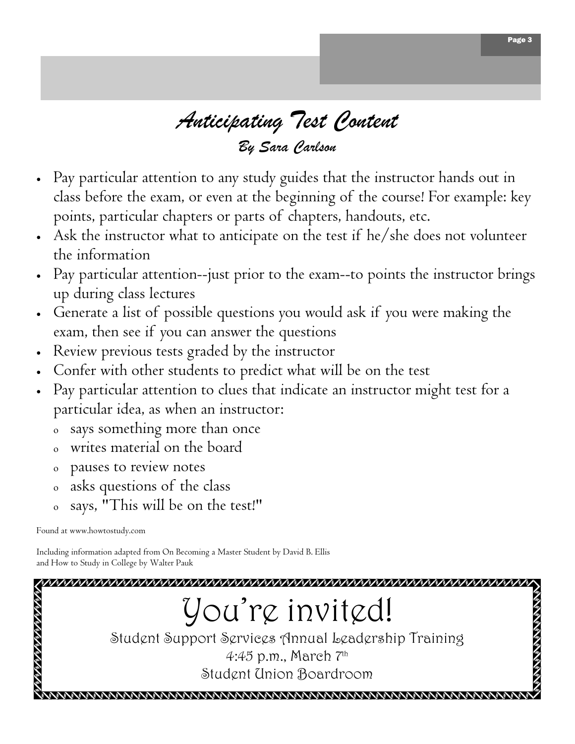### Anticipating Test Content By Sara Carlson

- Pay particular attention to any study guides that the instructor hands out in class before the exam, or even at the beginning of the course! For example: key points, particular chapters or parts of chapters, handouts, etc.
- Ask the instructor what to anticipate on the test if he/she does not volunteer the information
- Pay particular attention--just prior to the exam--to points the instructor brings up during class lectures
- Generate a list of possible questions you would ask if you were making the exam, then see if you can answer the questions
- Review previous tests graded by the instructor
- Confer with other students to predict what will be on the test
- Pay particular attention to clues that indicate an instructor might test for a particular idea, as when an instructor:
	- says something more than once
	- writes material on the board
	- <sup>ο</sup> pauses to review notes
	- <sup>ο</sup> asks questions of the class
	- <sup>ο</sup> says, "This will be on the test!"

Found at www.howtostudy.com

Including information adapted from On Becoming a Master Student by David B. Ellis and How to Study in College by Walter Pauk

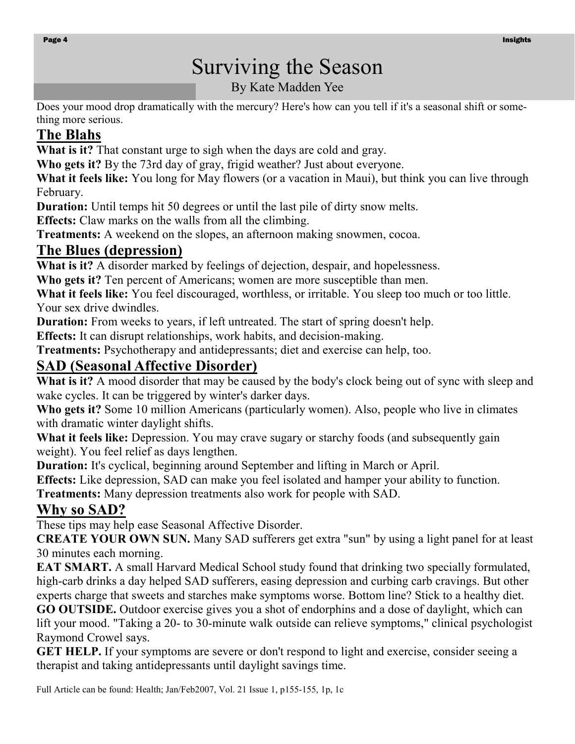### Surviving the Season

By Kate Madden Yee

Does your mood drop dramatically with the mercury? Here's how can you tell if it's a seasonal shift or something more serious.

### The Blahs

What is it? That constant urge to sigh when the days are cold and gray.

Who gets it? By the 73rd day of gray, frigid weather? Just about everyone.

What it feels like: You long for May flowers (or a vacation in Maui), but think you can live through February.

Duration: Until temps hit 50 degrees or until the last pile of dirty snow melts.

Effects: Claw marks on the walls from all the climbing.

Treatments: A weekend on the slopes, an afternoon making snowmen, cocoa.

### The Blues (depression)

What is it? A disorder marked by feelings of dejection, despair, and hopelessness.

Who gets it? Ten percent of Americans; women are more susceptible than men.

What it feels like: You feel discouraged, worthless, or irritable. You sleep too much or too little. Your sex drive dwindles.

Duration: From weeks to years, if left untreated. The start of spring doesn't help.

Effects: It can disrupt relationships, work habits, and decision-making.

Treatments: Psychotherapy and antidepressants; diet and exercise can help, too.

### SAD (Seasonal Affective Disorder)

What is it? A mood disorder that may be caused by the body's clock being out of sync with sleep and wake cycles. It can be triggered by winter's darker days.

Who gets it? Some 10 million Americans (particularly women). Also, people who live in climates with dramatic winter daylight shifts.

What it feels like: Depression. You may crave sugary or starchy foods (and subsequently gain weight). You feel relief as days lengthen.

Duration: It's cyclical, beginning around September and lifting in March or April.

Effects: Like depression, SAD can make you feel isolated and hamper your ability to function.

Treatments: Many depression treatments also work for people with SAD.

### Why so SAD?

These tips may help ease Seasonal Affective Disorder.

CREATE YOUR OWN SUN. Many SAD sufferers get extra "sun" by using a light panel for at least 30 minutes each morning.

EAT SMART. A small Harvard Medical School study found that drinking two specially formulated, high-carb drinks a day helped SAD sufferers, easing depression and curbing carb cravings. But other experts charge that sweets and starches make symptoms worse. Bottom line? Stick to a healthy diet.

GO OUTSIDE. Outdoor exercise gives you a shot of endorphins and a dose of daylight, which can lift your mood. "Taking a 20- to 30-minute walk outside can relieve symptoms," clinical psychologist Raymond Crowel says.

GET HELP. If your symptoms are severe or don't respond to light and exercise, consider seeing a therapist and taking antidepressants until daylight savings time.